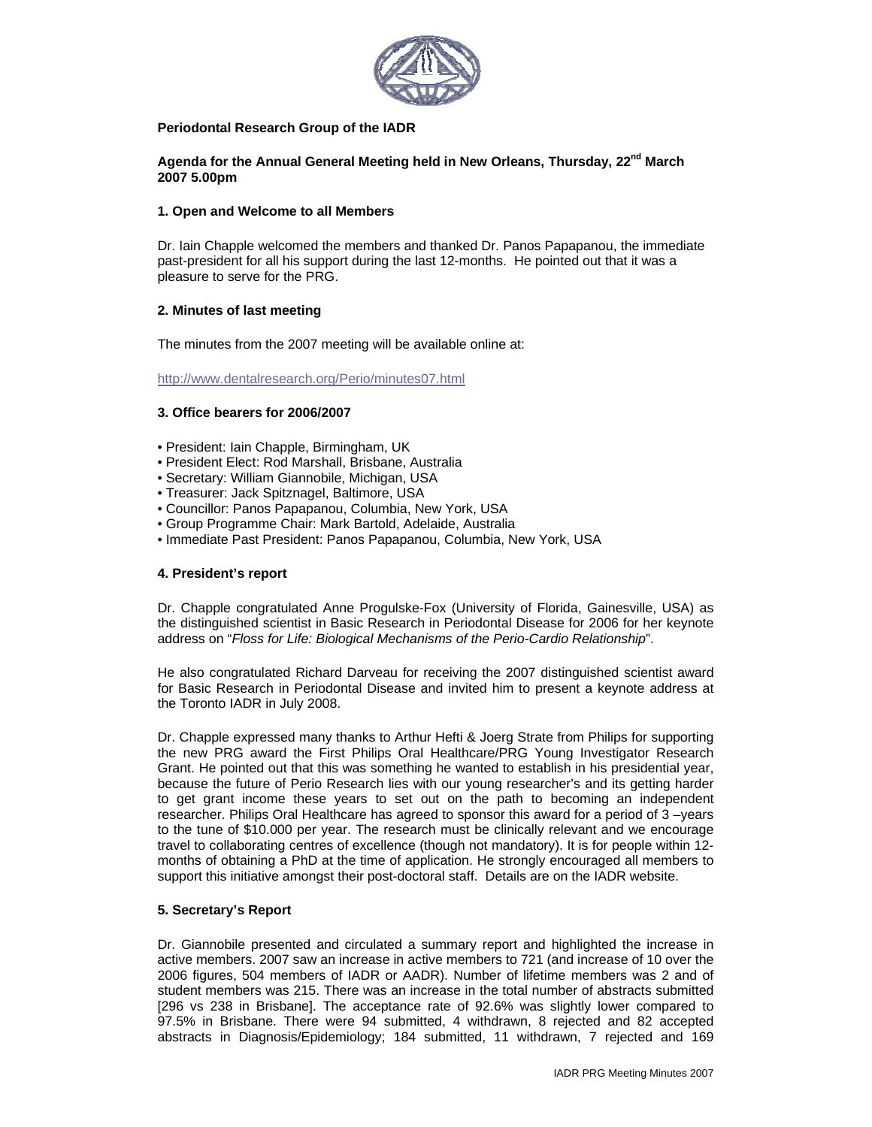

# **Periodontal Research Group of the IADR**

Agenda for the Annual General Meeting held in New Orleans, Thursday, 22<sup>nd</sup> March **2007 5.00pm** 

# **1. Open and Welcome to all Members**

Dr. Iain Chapple welcomed the members and thanked Dr. Panos Papapanou, the immediate past-president for all his support during the last 12-months. He pointed out that it was a pleasure to serve for the PRG.

# **2. Minutes of last meeting**

The minutes from the 2007 meeting will be available online at:

http://www.dentalresearch.org/Perio/minutes07.html

# **3. Office bearers for 2006/2007**

- President: Iain Chapple, Birmingham, UK
- President Elect: Rod Marshall, Brisbane, Australia
- Secretary: William Giannobile, Michigan, USA
- Treasurer: Jack Spitznagel, Baltimore, USA
- Councillor: Panos Papapanou, Columbia, New York, USA
- Group Programme Chair: Mark Bartold, Adelaide, Australia
- Immediate Past President: Panos Papapanou, Columbia, New York, USA

## **4. President's report**

Dr. Chapple congratulated Anne Progulske-Fox (University of Florida, Gainesville, USA) as the distinguished scientist in Basic Research in Periodontal Disease for 2006 for her keynote address on "*Floss for Life: Biological Mechanisms of the Perio-Cardio Relationship*".

He also congratulated Richard Darveau for receiving the 2007 distinguished scientist award for Basic Research in Periodontal Disease and invited him to present a keynote address at the Toronto IADR in July 2008.

Dr. Chapple expressed many thanks to Arthur Hefti & Joerg Strate from Philips for supporting the new PRG award the First Philips Oral Healthcare/PRG Young Investigator Research Grant. He pointed out that this was something he wanted to establish in his presidential year, because the future of Perio Research lies with our young researcher's and its getting harder to get grant income these years to set out on the path to becoming an independent researcher. Philips Oral Healthcare has agreed to sponsor this award for a period of 3 –years to the tune of \$10.000 per year. The research must be clinically relevant and we encourage travel to collaborating centres of excellence (though not mandatory). It is for people within 12 months of obtaining a PhD at the time of application. He strongly encouraged all members to support this initiative amongst their post-doctoral staff. Details are on the IADR website.

## **5. Secretary's Report**

Dr. Giannobile presented and circulated a summary report and highlighted the increase in active members. 2007 saw an increase in active members to 721 (and increase of 10 over the 2006 figures, 504 members of IADR or AADR). Number of lifetime members was 2 and of student members was 215. There was an increase in the total number of abstracts submitted [296 vs 238 in Brisbane]. The acceptance rate of 92.6% was slightly lower compared to 97.5% in Brisbane. There were 94 submitted, 4 withdrawn, 8 rejected and 82 accepted abstracts in Diagnosis/Epidemiology; 184 submitted, 11 withdrawn, 7 rejected and 169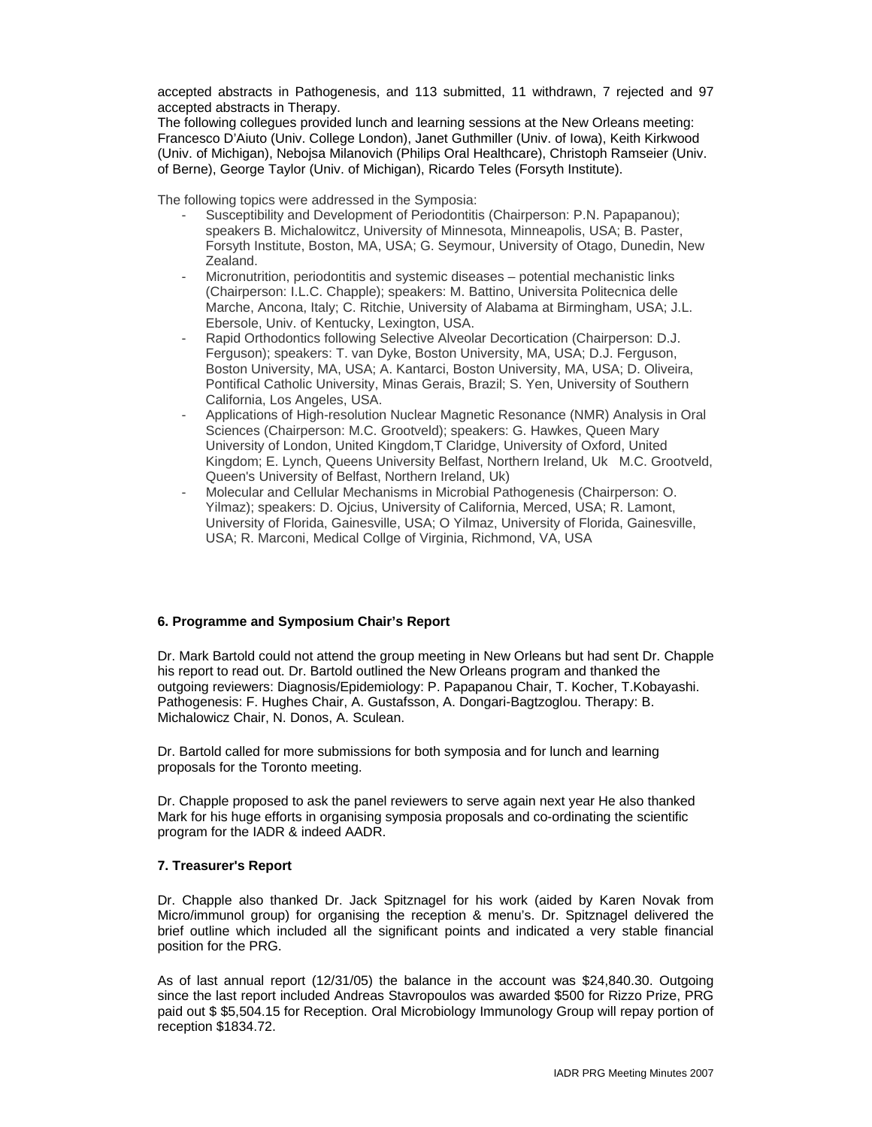accepted abstracts in Pathogenesis, and 113 submitted, 11 withdrawn, 7 rejected and 97 accepted abstracts in Therapy.

The following collegues provided lunch and learning sessions at the New Orleans meeting: Francesco D'Aiuto (Univ. College London), Janet Guthmiller (Univ. of Iowa), Keith Kirkwood (Univ. of Michigan), Nebojsa Milanovich (Philips Oral Healthcare), Christoph Ramseier (Univ. of Berne), George Taylor (Univ. of Michigan), Ricardo Teles (Forsyth Institute).

The following topics were addressed in the Symposia:

- Susceptibility and Development of Periodontitis (Chairperson: P.N. Papapanou); speakers B. Michalowitcz, University of Minnesota, Minneapolis, USA; B. Paster, Forsyth Institute, Boston, MA, USA; G. Seymour, University of Otago, Dunedin, New Zealand.
- Micronutrition, periodontitis and systemic diseases potential mechanistic links (Chairperson: I.L.C. Chapple); speakers: M. Battino, Universita Politecnica delle Marche, Ancona, Italy; C. Ritchie, University of Alabama at Birmingham, USA; J.L. Ebersole, Univ. of Kentucky, Lexington, USA.
- Rapid Orthodontics following Selective Alveolar Decortication (Chairperson: D.J. Ferguson); speakers: T. van Dyke, Boston University, MA, USA; D.J. Ferguson, Boston University, MA, USA; A. Kantarci, Boston University, MA, USA; D. Oliveira, Pontifical Catholic University, Minas Gerais, Brazil; S. Yen, University of Southern California, Los Angeles, USA.
- Applications of High-resolution Nuclear Magnetic Resonance (NMR) Analysis in Oral Sciences (Chairperson: M.C. Grootveld); speakers: G. Hawkes, Queen Mary University of London, United Kingdom,T Claridge, University of Oxford, United Kingdom; E. Lynch, Queens University Belfast, Northern Ireland, Uk M.C. Grootveld, Queen's University of Belfast, Northern Ireland, Uk)
- Molecular and Cellular Mechanisms in Microbial Pathogenesis (Chairperson: O. Yilmaz); speakers: D. Ojcius, University of California, Merced, USA; R. Lamont, University of Florida, Gainesville, USA; O Yilmaz, University of Florida, Gainesville, USA; R. Marconi, Medical Collge of Virginia, Richmond, VA, USA

## **6. Programme and Symposium Chair's Report**

Dr. Mark Bartold could not attend the group meeting in New Orleans but had sent Dr. Chapple his report to read out. Dr. Bartold outlined the New Orleans program and thanked the outgoing reviewers: Diagnosis/Epidemiology: P. Papapanou Chair, T. Kocher, T.Kobayashi. Pathogenesis: F. Hughes Chair, A. Gustafsson, A. Dongari-Bagtzoglou. Therapy: B. Michalowicz Chair, N. Donos, A. Sculean.

Dr. Bartold called for more submissions for both symposia and for lunch and learning proposals for the Toronto meeting.

Dr. Chapple proposed to ask the panel reviewers to serve again next year He also thanked Mark for his huge efforts in organising symposia proposals and co-ordinating the scientific program for the IADR & indeed AADR.

#### **7. Treasurer's Report**

Dr. Chapple also thanked Dr. Jack Spitznagel for his work (aided by Karen Novak from Micro/immunol group) for organising the reception & menu's. Dr. Spitznagel delivered the brief outline which included all the significant points and indicated a very stable financial position for the PRG.

As of last annual report (12/31/05) the balance in the account was \$24,840.30. Outgoing since the last report included Andreas Stavropoulos was awarded \$500 for Rizzo Prize, PRG paid out \$ \$5,504.15 for Reception. Oral Microbiology Immunology Group will repay portion of reception \$1834.72.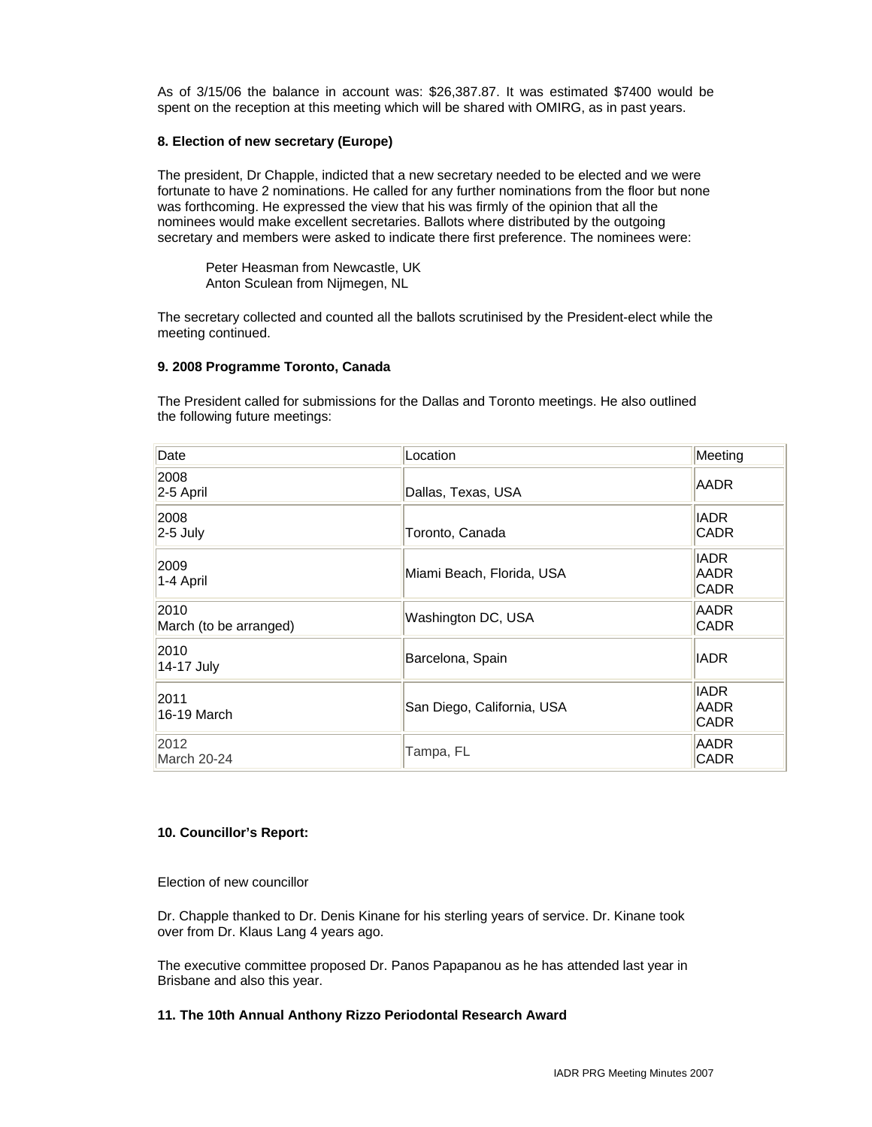As of 3/15/06 the balance in account was: \$26,387.87. It was estimated \$7400 would be spent on the reception at this meeting which will be shared with OMIRG, as in past years.

#### **8. Election of new secretary (Europe)**

The president, Dr Chapple, indicted that a new secretary needed to be elected and we were fortunate to have 2 nominations. He called for any further nominations from the floor but none was forthcoming. He expressed the view that his was firmly of the opinion that all the nominees would make excellent secretaries. Ballots where distributed by the outgoing secretary and members were asked to indicate there first preference. The nominees were:

 Peter Heasman from Newcastle, UK Anton Sculean from Nijmegen, NL

The secretary collected and counted all the ballots scrutinised by the President-elect while the meeting continued.

#### **9. 2008 Programme Toronto, Canada**

The President called for submissions for the Dallas and Toronto meetings. He also outlined the following future meetings:

| Date                           | Location                   | Meeting                                   |
|--------------------------------|----------------------------|-------------------------------------------|
| 2008<br>$ 2-5$ April           | Dallas, Texas, USA         | <b>AADR</b>                               |
| 2008<br>$2-5$ July             | Toronto, Canada            | <b>IADR</b><br><b>CADR</b>                |
| 2009<br>$1-4$ April            | Miami Beach, Florida, USA  | <b>IADR</b><br><b>AADR</b><br><b>CADR</b> |
| 2010<br>March (to be arranged) | Washington DC, USA         | <b>AADR</b><br><b>CADR</b>                |
| 2010<br>14-17 July             | Barcelona, Spain           | <b>IADR</b>                               |
| 2011<br>16-19 March            | San Diego, California, USA | <b>IADR</b><br><b>AADR</b><br>CADR        |
| 2012<br>March 20-24            | Tampa, FL                  | <b>AADR</b><br><b>CADR</b>                |

## **10. Councillor's Report:**

Election of new councillor

Dr. Chapple thanked to Dr. Denis Kinane for his sterling years of service. Dr. Kinane took over from Dr. Klaus Lang 4 years ago.

The executive committee proposed Dr. Panos Papapanou as he has attended last year in Brisbane and also this year.

# **11. The 10th Annual Anthony Rizzo Periodontal Research Award**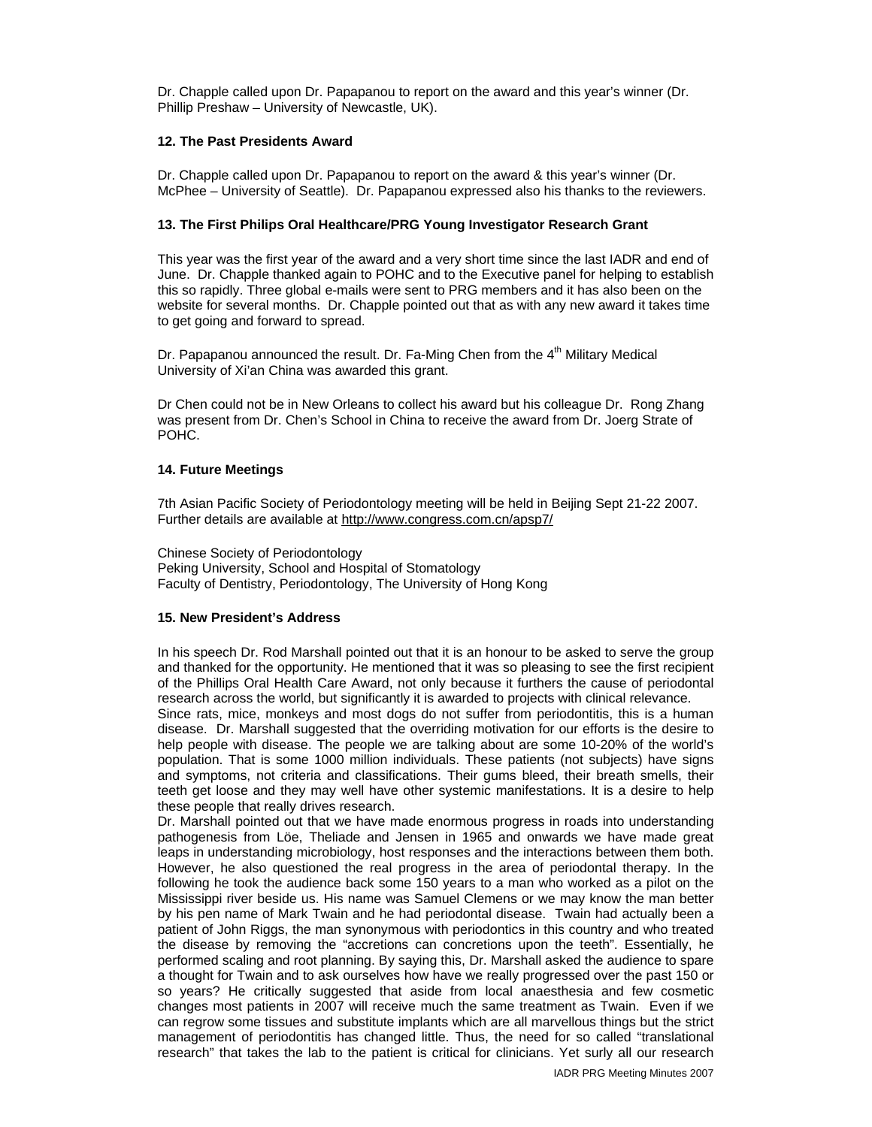Dr. Chapple called upon Dr. Papapanou to report on the award and this year's winner (Dr. Phillip Preshaw – University of Newcastle, UK).

## **12. The Past Presidents Award**

Dr. Chapple called upon Dr. Papapanou to report on the award & this year's winner (Dr. McPhee – University of Seattle). Dr. Papapanou expressed also his thanks to the reviewers.

#### **13. The First Philips Oral Healthcare/PRG Young Investigator Research Grant**

This year was the first year of the award and a very short time since the last IADR and end of June. Dr. Chapple thanked again to POHC and to the Executive panel for helping to establish this so rapidly. Three global e-mails were sent to PRG members and it has also been on the website for several months. Dr. Chapple pointed out that as with any new award it takes time to get going and forward to spread.

Dr. Papapanou announced the result. Dr. Fa-Ming Chen from the 4<sup>th</sup> Military Medical University of Xi'an China was awarded this grant.

Dr Chen could not be in New Orleans to collect his award but his colleague Dr. Rong Zhang was present from Dr. Chen's School in China to receive the award from Dr. Joerg Strate of POHC.

#### **14. Future Meetings**

7th Asian Pacific Society of Periodontology meeting will be held in Beijing Sept 21-22 2007. Further details are available at http://www.congress.com.cn/apsp7/

Chinese Society of Periodontology Peking University, School and Hospital of Stomatology Faculty of Dentistry, Periodontology, The University of Hong Kong

## **15. New President's Address**

In his speech Dr. Rod Marshall pointed out that it is an honour to be asked to serve the group and thanked for the opportunity. He mentioned that it was so pleasing to see the first recipient of the Phillips Oral Health Care Award, not only because it furthers the cause of periodontal research across the world, but significantly it is awarded to projects with clinical relevance.

Since rats, mice, monkeys and most dogs do not suffer from periodontitis, this is a human disease. Dr. Marshall suggested that the overriding motivation for our efforts is the desire to help people with disease. The people we are talking about are some 10-20% of the world's population. That is some 1000 million individuals. These patients (not subjects) have signs and symptoms, not criteria and classifications. Their gums bleed, their breath smells, their teeth get loose and they may well have other systemic manifestations. It is a desire to help these people that really drives research.

Dr. Marshall pointed out that we have made enormous progress in roads into understanding pathogenesis from Löe, Theliade and Jensen in 1965 and onwards we have made great leaps in understanding microbiology, host responses and the interactions between them both. However, he also questioned the real progress in the area of periodontal therapy. In the following he took the audience back some 150 years to a man who worked as a pilot on the Mississippi river beside us. His name was Samuel Clemens or we may know the man better by his pen name of Mark Twain and he had periodontal disease. Twain had actually been a patient of John Riggs, the man synonymous with periodontics in this country and who treated the disease by removing the "accretions can concretions upon the teeth". Essentially, he performed scaling and root planning. By saying this, Dr. Marshall asked the audience to spare a thought for Twain and to ask ourselves how have we really progressed over the past 150 or so years? He critically suggested that aside from local anaesthesia and few cosmetic changes most patients in 2007 will receive much the same treatment as Twain. Even if we can regrow some tissues and substitute implants which are all marvellous things but the strict management of periodontitis has changed little. Thus, the need for so called "translational research" that takes the lab to the patient is critical for clinicians. Yet surly all our research